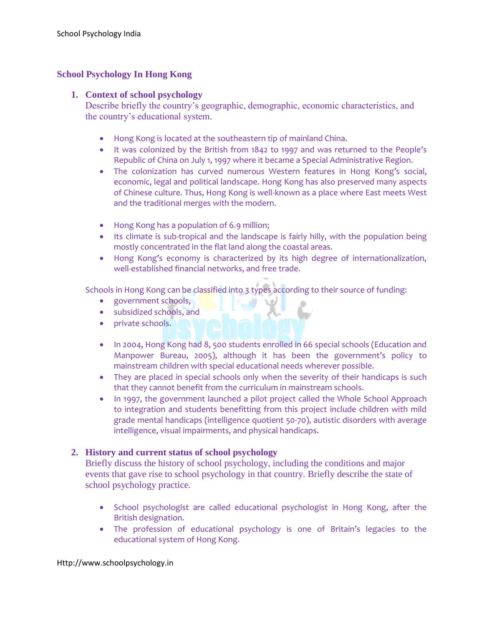# **School Psychology In Hong Kong**

### **1. Context of school psychology**

Describe briefly the country's geographic, demographic, economic characteristics, and the country's educational system.

- Hong Kong is located at the southeastern tip of mainland China.
- It was colonized by the British from 1842 to 1997 and was returned to the People's Republic of China on July 1, 1997 where it became a Special Administrative Region.
- The colonization has curved numerous Western features in Hong Kong's social, economic, legal and political landscape. Hong Kong has also preserved many aspects of Chinese culture. Thus, Hong Kong is well-known as a place where East meets West and the traditional merges with the modern.
- Hong Kong has a population of 6.9 million;
- Its climate is sub-tropical and the landscape is fairly hilly, with the population being mostly concentrated in the flat land along the coastal areas.
- Hong Kong's economy is characterized by its high degree of internationalization, well-established financial networks, and free trade.

Schools in Hong Kong can be classified into 3 types according to their source of funding:

- **e** government schools,
- subsidized schools, and
- private schools.
- In 2004, Hong Kong had 8, 500 students enrolled in 66 special schools (Education and Manpower Bureau, 2005), although it has been the government's policy to mainstream children with special educational needs wherever possible.
- They are placed in special schools only when the severity of their handicaps is such that they cannot benefit from the curriculum in mainstream schools.
- In 1997, the government launched a pilot project called the Whole School Approach to integration and students benefitting from this project include children with mild grade mental handicaps (intelligence quotient 50-70), autistic disorders with average intelligence, visual impairments, and physical handicaps.

## **2. History and current status of school psychology**

Briefly discuss the history of school psychology, including the conditions and major events that gave rise to school psychology in that country. Briefly describe the state of school psychology practice.

- School psychologist are called educational psychologist in Hong Kong, after the British designation.
- The profession of educational psychology is one of Britain's legacies to the educational system of Hong Kong.

#### Http://www.schoolpsychology.in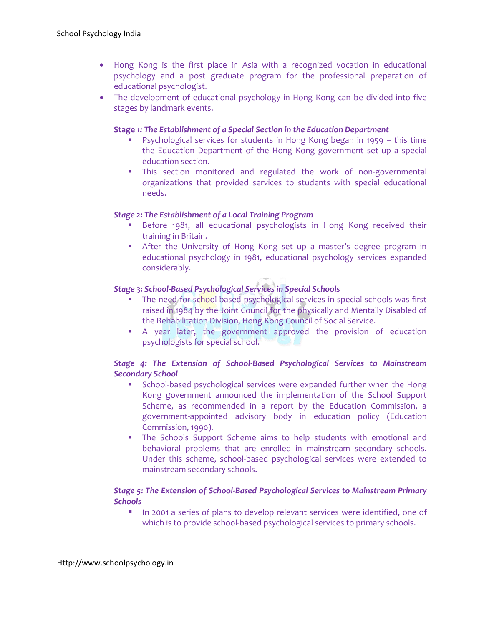- Hong Kong is the first place in Asia with a recognized vocation in educational psychology and a post graduate program for the professional preparation of educational psychologist.
- The development of educational psychology in Hong Kong can be divided into five stages by landmark events.

#### **Stage** *1: The Establishment of a Special Section in the Education Department*

- Psychological services for students in Hong Kong began in 1959 this time the Education Department of the Hong Kong government set up a special education section.
- This section monitored and regulated the work of non-governmental organizations that provided services to students with special educational needs.

### *Stage 2: The Establishment of a Local Training Program*

- **Before 1981, all educational psychologists in Hong Kong received their** training in Britain.
- After the University of Hong Kong set up a master's degree program in educational psychology in 1981, educational psychology services expanded considerably.

## *Stage 3: School-Based Psychological Services in Special Schools*

- The need for school-based psychological services in special schools was first raised in 1984 by the Joint Council for the physically and Mentally Disabled of the Rehabilitation Division, Hong Kong Council of Social Service.
- A year later, the government approved the provision of education psychologists for special school.

## *Stage 4: The Extension of School-Based Psychological Services to Mainstream Secondary School*

- **School-based psychological services were expanded further when the Hong** Kong government announced the implementation of the School Support Scheme, as recommended in a report by the Education Commission, a government-appointed advisory body in education policy (Education Commission, 1990).
- The Schools Support Scheme aims to help students with emotional and behavioral problems that are enrolled in mainstream secondary schools. Under this scheme, school-based psychological services were extended to mainstream secondary schools.

## *Stage 5: The Extension of School-Based Psychological Services to Mainstream Primary Schools*

In 2001 a series of plans to develop relevant services were identified, one of which is to provide school-based psychological services to primary schools.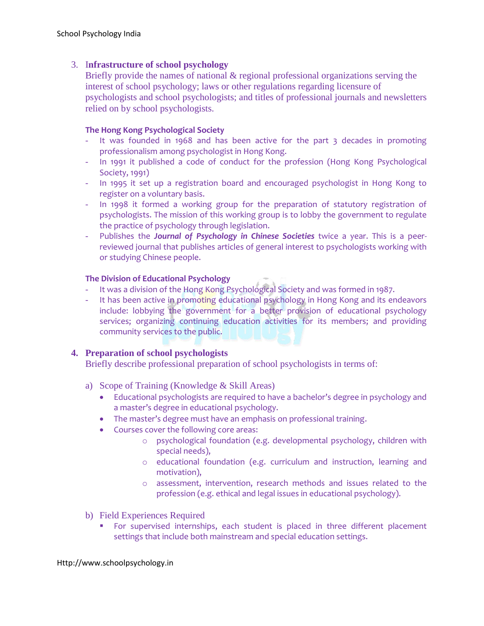# 3. I**nfrastructure of school psychology**

Briefly provide the names of national & regional professional organizations serving the interest of school psychology; laws or other regulations regarding licensure of psychologists and school psychologists; and titles of professional journals and newsletters relied on by school psychologists.

## **The Hong Kong Psychological Society**

- It was founded in 1968 and has been active for the part 3 decades in promoting professionalism among psychologist in Hong Kong.
- In 1991 it published a code of conduct for the profession (Hong Kong Psychological Society, 1991)
- In 1995 it set up a registration board and encouraged psychologist in Hong Kong to register on a voluntary basis.
- In 1998 it formed a working group for the preparation of statutory registration of psychologists. The mission of this working group is to lobby the government to regulate the practice of psychology through legislation.
- Publishes the *Journal of Psychology in Chinese Societies* twice a year. This is a peerreviewed journal that publishes articles of general interest to psychologists working with or studying Chinese people.

## **The Division of Educational Psychology**

- It was a division of the Hong Kong Psychological Society and was formed in 1987.
- It has been active in promoting educational psychology in Hong Kong and its endeavors include: lobbying the government for a better provision of educational psychology services; organizing continuing education activities for its members; and providing community services to the public.

## **4. Preparation of school psychologists**

Briefly describe professional preparation of school psychologists in terms of:

- a) Scope of Training (Knowledge & Skill Areas)
	- Educational psychologists are required to have a bachelor's degree in psychology and a master's degree in educational psychology.
	- The master's degree must have an emphasis on professional training.
	- Courses cover the following core areas:
		- o psychological foundation (e.g. developmental psychology, children with special needs),
		- o educational foundation (e.g. curriculum and instruction, learning and motivation),
		- o assessment, intervention, research methods and issues related to the profession (e.g. ethical and legal issues in educational psychology).
- b) Field Experiences Required
	- **For supervised internships, each student is placed in three different placement** settings that include both mainstream and special education settings.

#### Http://www.schoolpsychology.in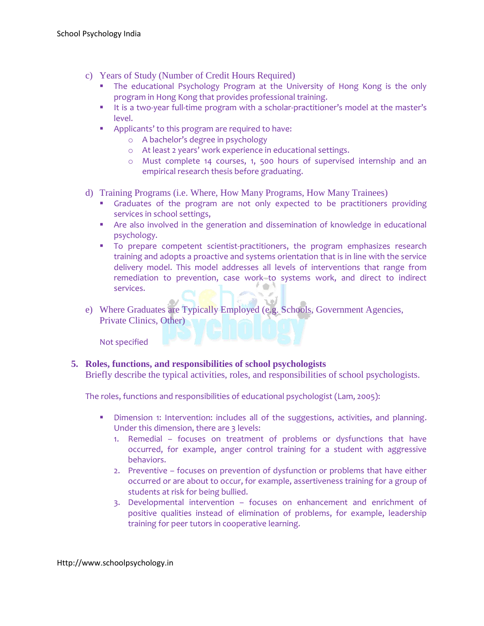- c) Years of Study (Number of Credit Hours Required)
	- **The educational Psychology Program at the University of Hong Kong is the only** program in Hong Kong that provides professional training.
	- It is a two-year full-time program with a scholar-practitioner's model at the master's level.
	- **Applicants' to this program are required to have:** 
		- o A bachelor's degree in psychology
		- o At least 2 years' work experience in educational settings.
		- o Must complete 14 courses, 1, 500 hours of supervised internship and an empirical research thesis before graduating.
- d) Training Programs (i.e. Where, How Many Programs, How Many Trainees)
	- **Graduates of the program are not only expected to be practitioners providing** services in school settings,
	- Are also involved in the generation and dissemination of knowledge in educational psychology.
	- **To prepare competent scientist-practitioners, the program emphasizes research** training and adopts a proactive and systems orientation that is in line with the service delivery model. This model addresses all levels of interventions that range from remediation to prevention, case work to systems work, and direct to indirect services.
- e) Where Graduates are Typically Employed (e.g. Schools, Government Agencies, Private Clinics, Other)

Not specified

## **5. Roles, functions, and responsibilities of school psychologists**

Briefly describe the typical activities, roles, and responsibilities of school psychologists.

The roles, functions and responsibilities of educational psychologist (Lam, 2005):

- **Dimension 1: Intervention: includes all of the suggestions, activities, and planning.** Under this dimension, there are 3 levels:
	- 1. Remedial focuses on treatment of problems or dysfunctions that have occurred, for example, anger control training for a student with aggressive behaviors.
	- 2. Preventive focuses on prevention of dysfunction or problems that have either occurred or are about to occur, for example, assertiveness training for a group of students at risk for being bullied.
	- 3. Developmental intervention focuses on enhancement and enrichment of positive qualities instead of elimination of problems, for example, leadership training for peer tutors in cooperative learning.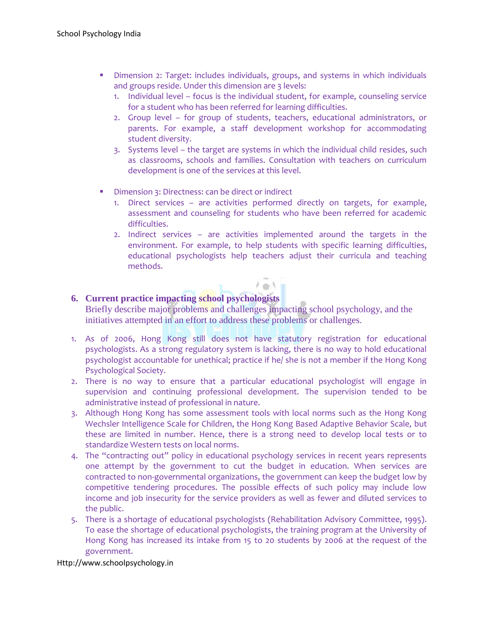- Dimension 2: Target: includes individuals, groups, and systems in which individuals and groups reside. Under this dimension are 3 levels:
	- 1. Individual level focus is the individual student, for example, counseling service for a student who has been referred for learning difficulties.
	- 2. Group level for group of students, teachers, educational administrators, or parents. For example, a staff development workshop for accommodating student diversity.
	- 3. Systems level the target are systems in which the individual child resides, such as classrooms, schools and families. Consultation with teachers on curriculum development is one of the services at this level.
- **Dimension 3: Directness: can be direct or indirect** 
	- 1. Direct services are activities performed directly on targets, for example, assessment and counseling for students who have been referred for academic difficulties.
	- 2. Indirect services are activities implemented around the targets in the environment. For example, to help students with specific learning difficulties, educational psychologists help teachers adjust their curricula and teaching methods.

# **6. Current practice impacting school psychologists**

Briefly describe major problems and challenges impacting school psychology, and the initiatives attempted in an effort to address these problems or challenges.

- 1. As of 2006, Hong Kong still does not have statutory registration for educational psychologists. As a strong regulatory system is lacking, there is no way to hold educational psychologist accountable for unethical; practice if he/ she is not a member if the Hong Kong Psychological Society.
- 2. There is no way to ensure that a particular educational psychologist will engage in supervision and continuing professional development. The supervision tended to be administrative instead of professional in nature.
- 3. Although Hong Kong has some assessment tools with local norms such as the Hong Kong Wechsler Intelligence Scale for Children, the Hong Kong Based Adaptive Behavior Scale, but these are limited in number. Hence, there is a strong need to develop local tests or to standardize Western tests on local norms.
- 4. The "contracting out" policy in educational psychology services in recent years represents one attempt by the government to cut the budget in education. When services are contracted to non-governmental organizations, the government can keep the budget low by competitive tendering procedures. The possible effects of such policy may include low income and job insecurity for the service providers as well as fewer and diluted services to the public.
- 5. There is a shortage of educational psychologists (Rehabilitation Advisory Committee, 1995). To ease the shortage of educational psychologists, the training program at the University of Hong Kong has increased its intake from 15 to 20 students by 2006 at the request of the government.

#### Http://www.schoolpsychology.in